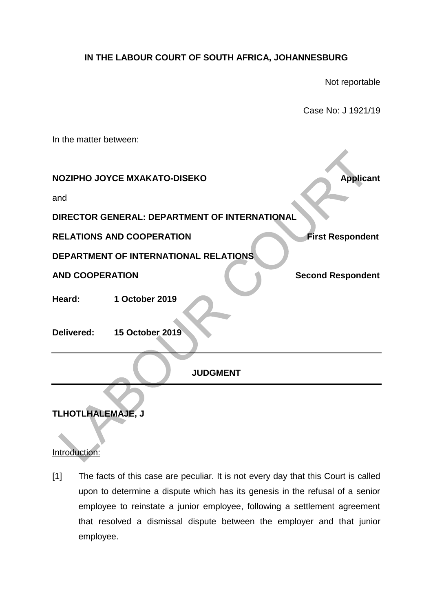## **IN THE LABOUR COURT OF SOUTH AFRICA, JOHANNESBURG**

Not reportable

Case No: J 1921/19

In the matter between: **NOZIPHO JOYCE MXAKATO-DISEKO Applicant** and **DIRECTOR GENERAL: DEPARTMENT OF INTERNATIONAL RELATIONS AND COOPERATION EXAMPLE AND COOPERATION DEPARTMENT OF INTERNATIONAL RELATIONS AND COOPERATION Second Respondent Heard: 1 October 2019 Delivered: 15 October 2019 JUDGMENT**

# **TLHOTLHALEMAJE, J**

### Introduction:

[1] The facts of this case are peculiar. It is not every day that this Court is called upon to determine a dispute which has its genesis in the refusal of a senior employee to reinstate a junior employee, following a settlement agreement that resolved a dismissal dispute between the employer and that junior employee.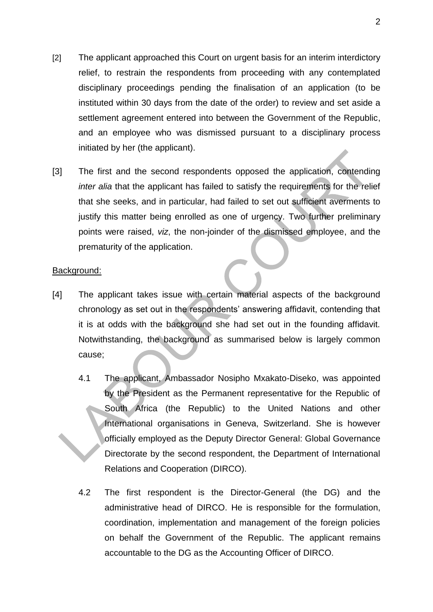- [2] The applicant approached this Court on urgent basis for an interim interdictory relief, to restrain the respondents from proceeding with any contemplated disciplinary proceedings pending the finalisation of an application (to be instituted within 30 days from the date of the order) to review and set aside a settlement agreement entered into between the Government of the Republic, and an employee who was dismissed pursuant to a disciplinary process initiated by her (the applicant).
- [3] The first and the second respondents opposed the application, contending *inter alia* that the applicant has failed to satisfy the requirements for the relief that she seeks, and in particular, had failed to set out sufficient averments to justify this matter being enrolled as one of urgency. Two further preliminary points were raised, *viz*, the non-joinder of the dismissed employee, and the prematurity of the application.

### Background:

- [4] The applicant takes issue with certain material aspects of the background chronology as set out in the respondents' answering affidavit, contending that it is at odds with the background she had set out in the founding affidavit. Notwithstanding, the background as summarised below is largely common cause;
	- 4.1 The applicant, Ambassador Nosipho Mxakato-Diseko, was appointed by the President as the Permanent representative for the Republic of South Africa (the Republic) to the United Nations and other International organisations in Geneva, Switzerland. She is however officially employed as the Deputy Director General: Global Governance Directorate by the second respondent, the Department of International Relations and Cooperation (DIRCO).
	- 4.2 The first respondent is the Director-General (the DG) and the administrative head of DIRCO. He is responsible for the formulation, coordination, implementation and management of the foreign policies on behalf the Government of the Republic. The applicant remains accountable to the DG as the Accounting Officer of DIRCO.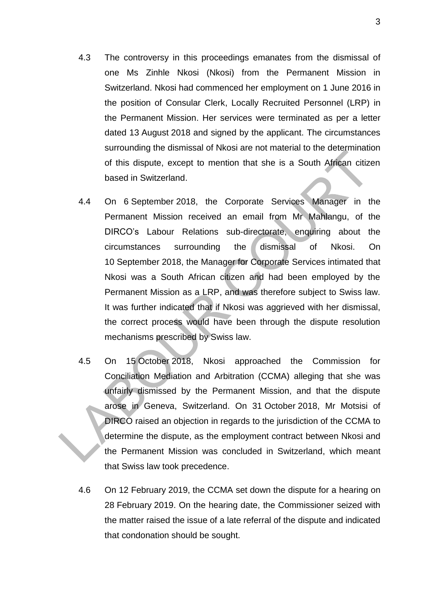- 4.3 The controversy in this proceedings emanates from the dismissal of one Ms Zinhle Nkosi (Nkosi) from the Permanent Mission in Switzerland. Nkosi had commenced her employment on 1 June 2016 in the position of Consular Clerk, Locally Recruited Personnel (LRP) in the Permanent Mission. Her services were terminated as per a letter dated 13 August 2018 and signed by the applicant. The circumstances surrounding the dismissal of Nkosi are not material to the determination of this dispute, except to mention that she is a South African citizen based in Switzerland.
- 4.4 On 6 September 2018, the Corporate Services Manager in the Permanent Mission received an email from Mr Mahlangu, of the DIRCO's Labour Relations sub-directorate, enquiring about the circumstances surrounding the dismissal of Nkosi. On 10 September 2018, the Manager for Corporate Services intimated that Nkosi was a South African citizen and had been employed by the Permanent Mission as a LRP, and was therefore subject to Swiss law. It was further indicated that if Nkosi was aggrieved with her dismissal, the correct process would have been through the dispute resolution mechanisms prescribed by Swiss law.
- 4.5 On 15 October 2018, Nkosi approached the Commission for Conciliation Mediation and Arbitration (CCMA) alleging that she was unfairly dismissed by the Permanent Mission, and that the dispute arose in Geneva, Switzerland. On 31 October 2018, Mr Motsisi of DIRCO raised an objection in regards to the jurisdiction of the CCMA to determine the dispute, as the employment contract between Nkosi and the Permanent Mission was concluded in Switzerland, which meant that Swiss law took precedence.
- 4.6 On 12 February 2019, the CCMA set down the dispute for a hearing on 28 February 2019. On the hearing date, the Commissioner seized with the matter raised the issue of a late referral of the dispute and indicated that condonation should be sought.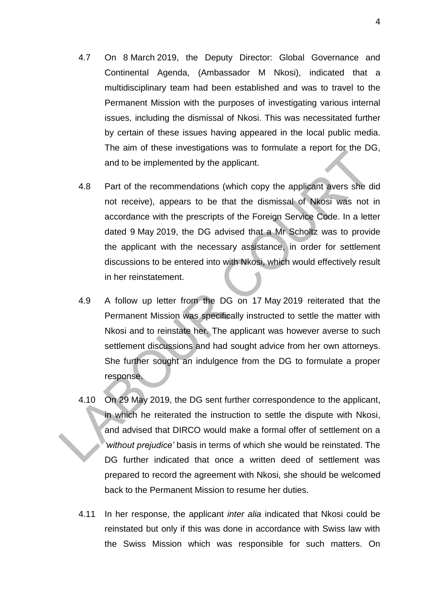- 4.7 On 8 March 2019, the Deputy Director: Global Governance and Continental Agenda, (Ambassador M Nkosi), indicated that a multidisciplinary team had been established and was to travel to the Permanent Mission with the purposes of investigating various internal issues, including the dismissal of Nkosi. This was necessitated further by certain of these issues having appeared in the local public media. The aim of these investigations was to formulate a report for the DG, and to be implemented by the applicant.
- 4.8 Part of the recommendations (which copy the applicant avers she did not receive), appears to be that the dismissal of Nkosi was not in accordance with the prescripts of the Foreign Service Code. In a letter dated 9 May 2019, the DG advised that a Mr Scholtz was to provide the applicant with the necessary assistance, in order for settlement discussions to be entered into with Nkosi, which would effectively result in her reinstatement.
- 4.9 A follow up letter from the DG on 17 May 2019 reiterated that the Permanent Mission was specifically instructed to settle the matter with Nkosi and to reinstate her. The applicant was however averse to such settlement discussions and had sought advice from her own attorneys. She further sought an indulgence from the DG to formulate a proper response.
- 4.10 On 29 May 2019, the DG sent further correspondence to the applicant, in which he reiterated the instruction to settle the dispute with Nkosi, and advised that DIRCO would make a formal offer of settlement on a *'without prejudice'* basis in terms of which she would be reinstated. The DG further indicated that once a written deed of settlement was prepared to record the agreement with Nkosi, she should be welcomed back to the Permanent Mission to resume her duties.
- 4.11 In her response, the applicant *inter alia* indicated that Nkosi could be reinstated but only if this was done in accordance with Swiss law with the Swiss Mission which was responsible for such matters. On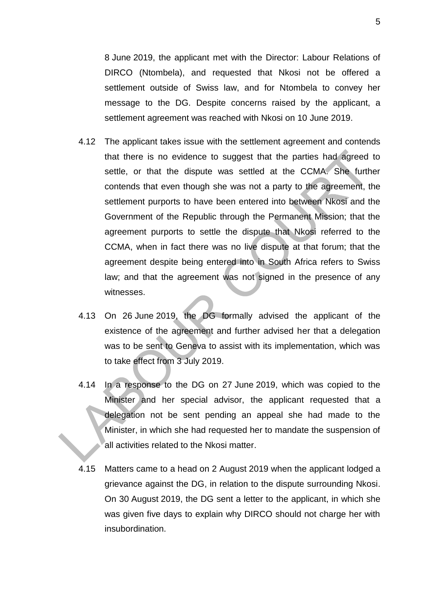8 June 2019, the applicant met with the Director: Labour Relations of DIRCO (Ntombela), and requested that Nkosi not be offered a settlement outside of Swiss law, and for Ntombela to convey her message to the DG. Despite concerns raised by the applicant, a settlement agreement was reached with Nkosi on 10 June 2019.

- 4.12 The applicant takes issue with the settlement agreement and contends that there is no evidence to suggest that the parties had agreed to settle, or that the dispute was settled at the CCMA. She further contends that even though she was not a party to the agreement, the settlement purports to have been entered into between Nkosi and the Government of the Republic through the Permanent Mission; that the agreement purports to settle the dispute that Nkosi referred to the CCMA, when in fact there was no live dispute at that forum; that the agreement despite being entered into in South Africa refers to Swiss law; and that the agreement was not signed in the presence of any witnesses.
- 4.13 On 26 June 2019, the DG formally advised the applicant of the existence of the agreement and further advised her that a delegation was to be sent to Geneva to assist with its implementation, which was to take effect from 3 July 2019.
- 4.14 In a response to the DG on 27 June 2019, which was copied to the Minister and her special advisor, the applicant requested that a delegation not be sent pending an appeal she had made to the Minister, in which she had requested her to mandate the suspension of all activities related to the Nkosi matter.
- 4.15 Matters came to a head on 2 August 2019 when the applicant lodged a grievance against the DG, in relation to the dispute surrounding Nkosi. On 30 August 2019, the DG sent a letter to the applicant, in which she was given five days to explain why DIRCO should not charge her with insubordination.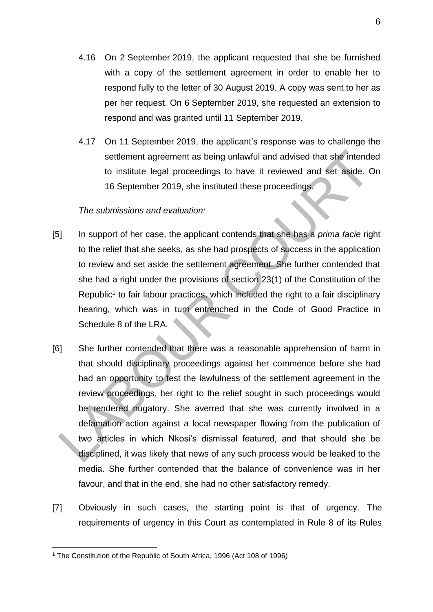- 4.16 On 2 September 2019, the applicant requested that she be furnished with a copy of the settlement agreement in order to enable her to respond fully to the letter of 30 August 2019. A copy was sent to her as per her request. On 6 September 2019, she requested an extension to respond and was granted until 11 September 2019.
- 4.17 On 11 September 2019, the applicant's response was to challenge the settlement agreement as being unlawful and advised that she intended to institute legal proceedings to have it reviewed and set aside. On 16 September 2019, she instituted these proceedings.

### *The submissions and evaluation:*

- [5] In support of her case, the applicant contends that she has a *prima facie* right to the relief that she seeks, as she had prospects of success in the application to review and set aside the settlement agreement. She further contended that she had a right under the provisions of section 23(1) of the Constitution of the Republic<sup>1</sup> to fair labour practices, which included the right to a fair disciplinary hearing, which was in turn entrenched in the Code of Good Practice in Schedule 8 of the LRA.
- [6] She further contended that there was a reasonable apprehension of harm in that should disciplinary proceedings against her commence before she had had an opportunity to test the lawfulness of the settlement agreement in the review proceedings, her right to the relief sought in such proceedings would be rendered nugatory. She averred that she was currently involved in a defamation action against a local newspaper flowing from the publication of two articles in which Nkosi's dismissal featured, and that should she be disciplined, it was likely that news of any such process would be leaked to the media. She further contended that the balance of convenience was in her favour, and that in the end, she had no other satisfactory remedy.
- [7] Obviously in such cases, the starting point is that of urgency. The requirements of urgency in this Court as contemplated in Rule 8 of its Rules

1

<sup>&</sup>lt;sup>1</sup> The Constitution of the Republic of South Africa, 1996 (Act 108 of 1996)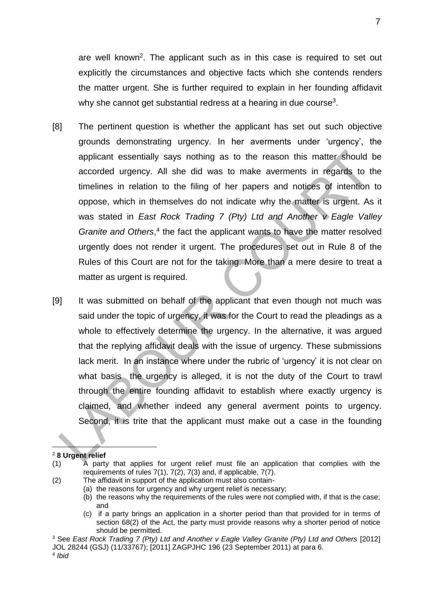are well known<sup>2</sup>. The applicant such as in this case is required to set out explicitly the circumstances and objective facts which she contends renders the matter urgent. She is further required to explain in her founding affidavit why she cannot get substantial redress at a hearing in due course<sup>3</sup>.

- [8] The pertinent question is whether the applicant has set out such objective grounds demonstrating urgency. In her averments under 'urgency', the applicant essentially says nothing as to the reason this matter should be accorded urgency. All she did was to make averments in regards to the timelines in relation to the filing of her papers and notices of intention to oppose, which in themselves do not indicate why the matter is urgent. As it was stated in *East Rock Trading 7 (Pty) Ltd and Another v Eagle Valley*  Granite and Others,<sup>4</sup> the fact the applicant wants to have the matter resolved urgently does not render it urgent. The procedures set out in Rule 8 of the Rules of this Court are not for the taking. More than a mere desire to treat a matter as urgent is required.
- [9] It was submitted on behalf of the applicant that even though not much was said under the topic of urgency, it was for the Court to read the pleadings as a whole to effectively determine the urgency. In the alternative, it was argued that the replying affidavit deals with the issue of urgency. These submissions lack merit. In an instance where under the rubric of 'urgency' it is not clear on what basis the urgency is alleged, it is not the duty of the Court to trawl through the entire founding affidavit to establish where exactly urgency is claimed, and whether indeed any general averment points to urgency. Second, it is trite that the applicant must make out a case in the founding

#### 1 <sup>2</sup> **8 Urgent relief**

- (2) The affidavit in support of the application must also contain-
	- (a) the reasons for urgency and why urgent relief is necessary;

(c) if a party brings an application in a shorter period than that provided for in terms of section 68(2) of the Act, the party must provide reasons why a shorter period of notice should be permitted.

<sup>(1)</sup> A party that applies for urgent relief must file an application that complies with the requirements of rules 7(1), 7(2), 7(3) and, if applicable, 7(7).

<sup>(</sup>b) the reasons why the requirements of the rules were not complied with, if that is the case; and

<sup>3</sup> See *East Rock Trading 7 (Pty) Ltd and Another v Eagle Valley Granite (Pty) Ltd and Others* [2012] JOL 28244 (GSJ) (11/33767); [2011] ZAGPJHC 196 (23 September 2011) at para 6.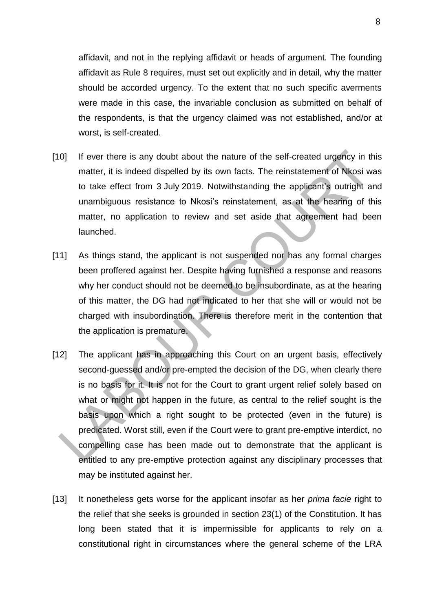affidavit, and not in the replying affidavit or heads of argument. The founding affidavit as Rule 8 requires, must set out explicitly and in detail, why the matter should be accorded urgency. To the extent that no such specific averments were made in this case, the invariable conclusion as submitted on behalf of the respondents, is that the urgency claimed was not established, and/or at worst, is self-created.

- [10] If ever there is any doubt about the nature of the self-created urgency in this matter, it is indeed dispelled by its own facts. The reinstatement of Nkosi was to take effect from 3 July 2019. Notwithstanding the applicant's outright and unambiguous resistance to Nkosi's reinstatement, as at the hearing of this matter, no application to review and set aside that agreement had been launched.
- [11] As things stand, the applicant is not suspended nor has any formal charges been proffered against her. Despite having furnished a response and reasons why her conduct should not be deemed to be insubordinate, as at the hearing of this matter, the DG had not indicated to her that she will or would not be charged with insubordination. There is therefore merit in the contention that the application is premature.
- [12] The applicant has in approaching this Court on an urgent basis, effectively second-guessed and/or pre-empted the decision of the DG, when clearly there is no basis for it. It is not for the Court to grant urgent relief solely based on what or might not happen in the future, as central to the relief sought is the basis upon which a right sought to be protected (even in the future) is predicated. Worst still, even if the Court were to grant pre-emptive interdict, no compelling case has been made out to demonstrate that the applicant is entitled to any pre-emptive protection against any disciplinary processes that may be instituted against her.
- [13] It nonetheless gets worse for the applicant insofar as her *prima facie* right to the relief that she seeks is grounded in section 23(1) of the Constitution. It has long been stated that it is impermissible for applicants to rely on a constitutional right in circumstances where the general scheme of the LRA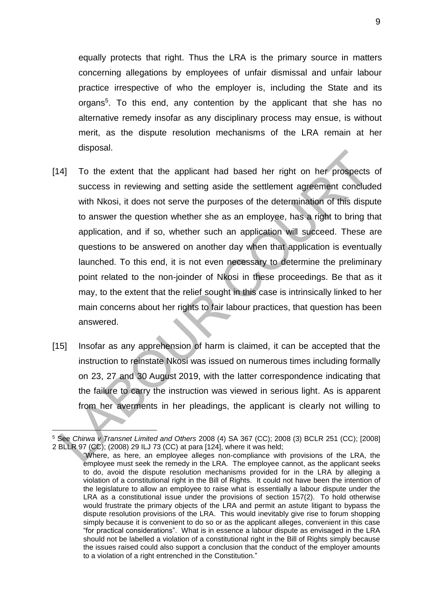equally protects that right. Thus the LRA is the primary source in matters concerning allegations by employees of unfair dismissal and unfair labour practice irrespective of who the employer is, including the State and its organs<sup>5</sup>. To this end, any contention by the applicant that she has no alternative remedy insofar as any disciplinary process may ensue, is without merit, as the dispute resolution mechanisms of the LRA remain at her disposal.

- [14] To the extent that the applicant had based her right on her prospects of success in reviewing and setting aside the settlement agreement concluded with Nkosi, it does not serve the purposes of the determination of this dispute to answer the question whether she as an employee, has a right to bring that application, and if so, whether such an application will succeed. These are questions to be answered on another day when that application is eventually launched. To this end, it is not even necessary to determine the preliminary point related to the non-joinder of Nkosi in these proceedings. Be that as it may, to the extent that the relief sought in this case is intrinsically linked to her main concerns about her rights to fair labour practices, that question has been answered.
- [15] Insofar as any apprehension of harm is claimed, it can be accepted that the instruction to reinstate Nkosi was issued on numerous times including formally on 23, 27 and 30 August 2019, with the latter correspondence indicating that the failure to carry the instruction was viewed in serious light. As is apparent from her averments in her pleadings, the applicant is clearly not willing to

1

<sup>5</sup> See *Chirwa v Transnet Limited and Others* 2008 (4) SA 367 (CC); 2008 (3) BCLR 251 (CC); [2008] 2 BLLR 97 (CC); (2008) 29 ILJ 73 (CC) at para [124], where it was held;

<sup>&</sup>quot;Where, as here, an employee alleges non-compliance with provisions of the LRA, the employee must seek the remedy in the LRA. The employee cannot, as the applicant seeks to do, avoid the dispute resolution mechanisms provided for in the LRA by alleging a violation of a constitutional right in the Bill of Rights. It could not have been the intention of the legislature to allow an employee to raise what is essentially a labour dispute under the LRA as a constitutional issue under the provisions of section 157(2). To hold otherwise would frustrate the primary objects of the LRA and permit an astute litigant to bypass the dispute resolution provisions of the LRA. This would inevitably give rise to forum shopping simply because it is convenient to do so or as the applicant alleges, convenient in this case "for practical considerations". What is in essence a labour dispute as envisaged in the LRA should not be labelled a violation of a constitutional right in the Bill of Rights simply because the issues raised could also support a conclusion that the conduct of the employer amounts to a violation of a right entrenched in the Constitution."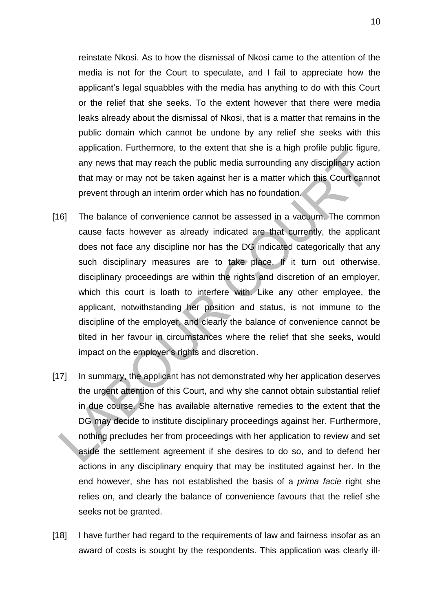reinstate Nkosi. As to how the dismissal of Nkosi came to the attention of the media is not for the Court to speculate, and I fail to appreciate how the applicant's legal squabbles with the media has anything to do with this Court or the relief that she seeks. To the extent however that there were media leaks already about the dismissal of Nkosi, that is a matter that remains in the public domain which cannot be undone by any relief she seeks with this application. Furthermore, to the extent that she is a high profile public figure, any news that may reach the public media surrounding any disciplinary action that may or may not be taken against her is a matter which this Court cannot prevent through an interim order which has no foundation.

- [16] The balance of convenience cannot be assessed in a vacuum. The common cause facts however as already indicated are that currently, the applicant does not face any discipline nor has the DG indicated categorically that any such disciplinary measures are to take place. If it turn out otherwise, disciplinary proceedings are within the rights and discretion of an employer, which this court is loath to interfere with. Like any other employee, the applicant, notwithstanding her position and status, is not immune to the discipline of the employer, and clearly the balance of convenience cannot be tilted in her favour in circumstances where the relief that she seeks, would impact on the employer's rights and discretion.
- [17] In summary, the applicant has not demonstrated why her application deserves the urgent attention of this Court, and why she cannot obtain substantial relief in due course. She has available alternative remedies to the extent that the DG may decide to institute disciplinary proceedings against her. Furthermore, nothing precludes her from proceedings with her application to review and set aside the settlement agreement if she desires to do so, and to defend her actions in any disciplinary enquiry that may be instituted against her. In the end however, she has not established the basis of a *prima facie* right she relies on, and clearly the balance of convenience favours that the relief she seeks not be granted.
- [18] I have further had regard to the requirements of law and fairness insofar as an award of costs is sought by the respondents. This application was clearly ill-